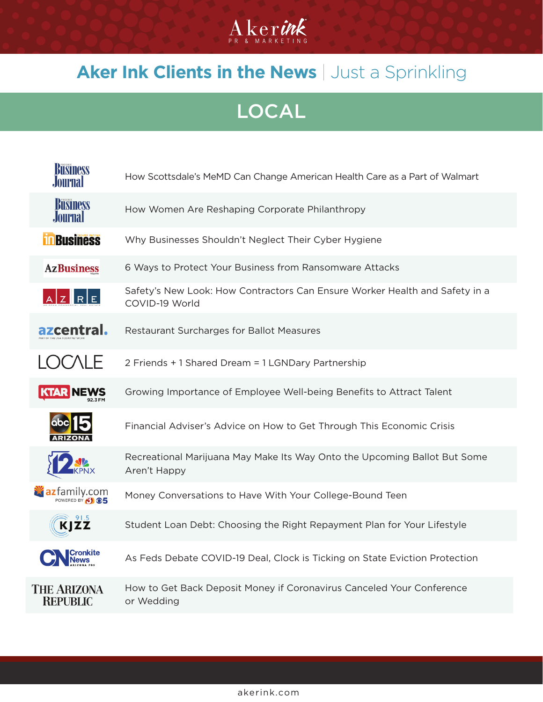

## **Aker Ink Clients in the News | Just a Sprinkling**

LOCAL

| <b>Business</b><br>Journal     | How Scottsdale's MeMD Can Change American Health Care as a Part of Walmart                    |
|--------------------------------|-----------------------------------------------------------------------------------------------|
| <b>Business</b><br>Journal     | How Women Are Reshaping Corporate Philanthropy                                                |
| <b>Business</b>                | Why Businesses Shouldn't Neglect Their Cyber Hygiene                                          |
| <b>AzBusiness</b>              | 6 Ways to Protect Your Business from Ransomware Attacks                                       |
| $AZ$ RE                        | Safety's New Look: How Contractors Can Ensure Worker Health and Safety in a<br>COVID-19 World |
| azcentral.                     | Restaurant Surcharges for Ballot Measures                                                     |
| <b>LOCALE</b>                  | 2 Friends + 1 Shared Dream = 1 LGNDary Partnership                                            |
| <b>KTAR NEWS</b>               | Growing Importance of Employee Well-being Benefits to Attract Talent                          |
|                                | Financial Adviser's Advice on How to Get Through This Economic Crisis                         |
|                                | Recreational Marijuana May Make Its Way Onto the Upcoming Ballot But Some<br>Aren't Happy     |
| <b>X</b> azfamily.com          | Money Conversations to Have With Your College-Bound Teen                                      |
| <b>KJZZ</b>                    | Student Loan Debt: Choosing the Right Repayment Plan for Your Lifestyle                       |
| Cronkite                       | As Feds Debate COVID-19 Deal, Clock is Ticking on State Eviction Protection                   |
| THE ARIZONA<br><b>REPUBLIC</b> | How to Get Back Deposit Money if Coronavirus Canceled Your Conference<br>or Wedding           |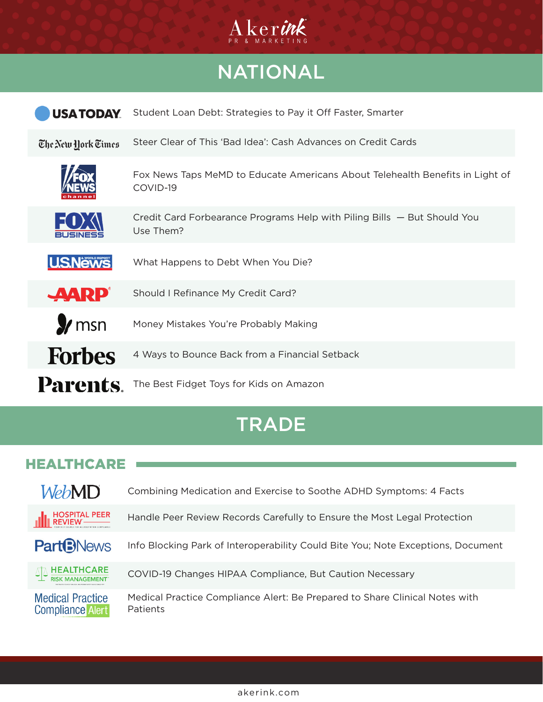

# NATIONAL

| <b>USA TODAY</b>   | Student Loan Debt: Strategies to Pay it Off Faster, Smarter                               |
|--------------------|-------------------------------------------------------------------------------------------|
| The New York Times | Steer Clear of This 'Bad Idea': Cash Advances on Credit Cards                             |
|                    | Fox News Taps MeMD to Educate Americans About Telehealth Benefits in Light of<br>COVID-19 |
| EU)                | Credit Card Forbearance Programs Help with Piling Bills – But Should You<br>Use Them?     |
| <b>U.S.News</b>    | What Happens to Debt When You Die?                                                        |
| <b>AARP</b>        | Should I Refinance My Credit Card?                                                        |
| $\gamma$ msn       | Money Mistakes You're Probably Making                                                     |
| <b>Forbes</b>      | 4 Ways to Bounce Back from a Financial Setback                                            |
| Parents            | The Best Fidget Toys for Kids on Amazon                                                   |

## **TRADE**

### **HEALTHCARE**

| <i>WebMD</i>                                       | Combining Medication and Exercise to Soothe ADHD Symptoms: 4 Facts                      |
|----------------------------------------------------|-----------------------------------------------------------------------------------------|
| HOSPITAL PEER<br>REVIEW ————                       | Handle Peer Review Records Carefully to Ensure the Most Legal Protection                |
| <b>Part<sup>B</sup>News</b>                        | Info Blocking Park of Interoperability Could Bite You; Note Exceptions, Document        |
| $\textcolor{red}{\text{max}}$ HEALTHCARE           | COVID-19 Changes HIPAA Compliance, But Caution Necessary                                |
| <b>Medical Practice</b><br><b>Compliance Alert</b> | Medical Practice Compliance Alert: Be Prepared to Share Clinical Notes with<br>Patients |